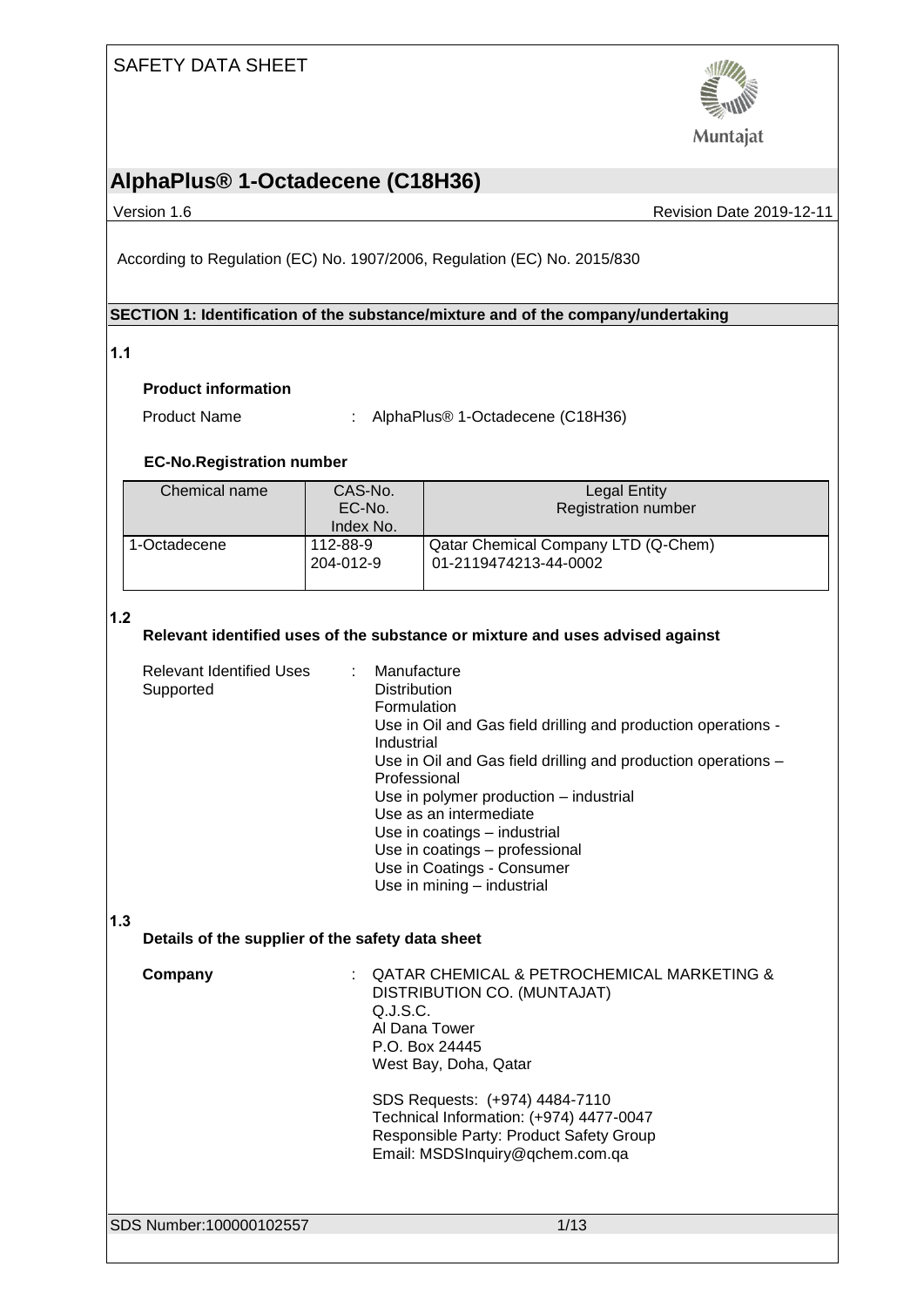### SAFETY DATA SHEET



Muntajat

# **AlphaPlus® 1-Octadecene (C18H36)**

Version 1.6 **New Search 2019-12-11** Revision Date 2019-12-11

According to Regulation (EC) No. 1907/2006, Regulation (EC) No. 2015/830

#### **SECTION 1: Identification of the substance/mixture and of the company/undertaking**

#### **1.1**

#### **Product information**

Product Name : AlphaPlus® 1-Octadecene (C18H36)

#### **EC-No.Registration number**

| Chemical name | CAS-No.<br>EC-No.<br>Index No. | <b>Legal Entity</b><br><b>Registration number</b>            |
|---------------|--------------------------------|--------------------------------------------------------------|
| 1-Octadecene  | 112-88-9<br>204-012-9          | Qatar Chemical Company LTD (Q-Chem)<br>01-2119474213-44-0002 |

#### **1.2**

#### **Relevant identified uses of the substance or mixture and uses advised against**

|     | Relevant Identified Uses : Manufacture<br>Supported | <b>Distribution</b><br>Formulation<br>Use in Oil and Gas field drilling and production operations -<br>Industrial<br>Use in Oil and Gas field drilling and production operations –<br>Professional<br>Use in polymer production – industrial<br>Use as an intermediate<br>Use in coatings - industrial<br>Use in coatings - professional<br>Use in Coatings - Consumer<br>Use in mining - industrial |
|-----|-----------------------------------------------------|------------------------------------------------------------------------------------------------------------------------------------------------------------------------------------------------------------------------------------------------------------------------------------------------------------------------------------------------------------------------------------------------------|
| 1.3 | Details of the supplier of the safety data sheet    |                                                                                                                                                                                                                                                                                                                                                                                                      |
|     | Company                                             | : QATAR CHEMICAL & PETROCHEMICAL MARKETING &<br>DISTRIBUTION CO. (MUNTAJAT)<br>Q.J.S.C.<br>Al Dana Tower<br>P.O. Box 24445                                                                                                                                                                                                                                                                           |

West Bay, Doha, Qatar

SDS Requests: (+974) 4484-7110 Technical Information: (+974) 4477-0047 Responsible Party: Product Safety Group Email: MSDSInquiry@qchem.com.qa

SDS Number:100000102557 1/13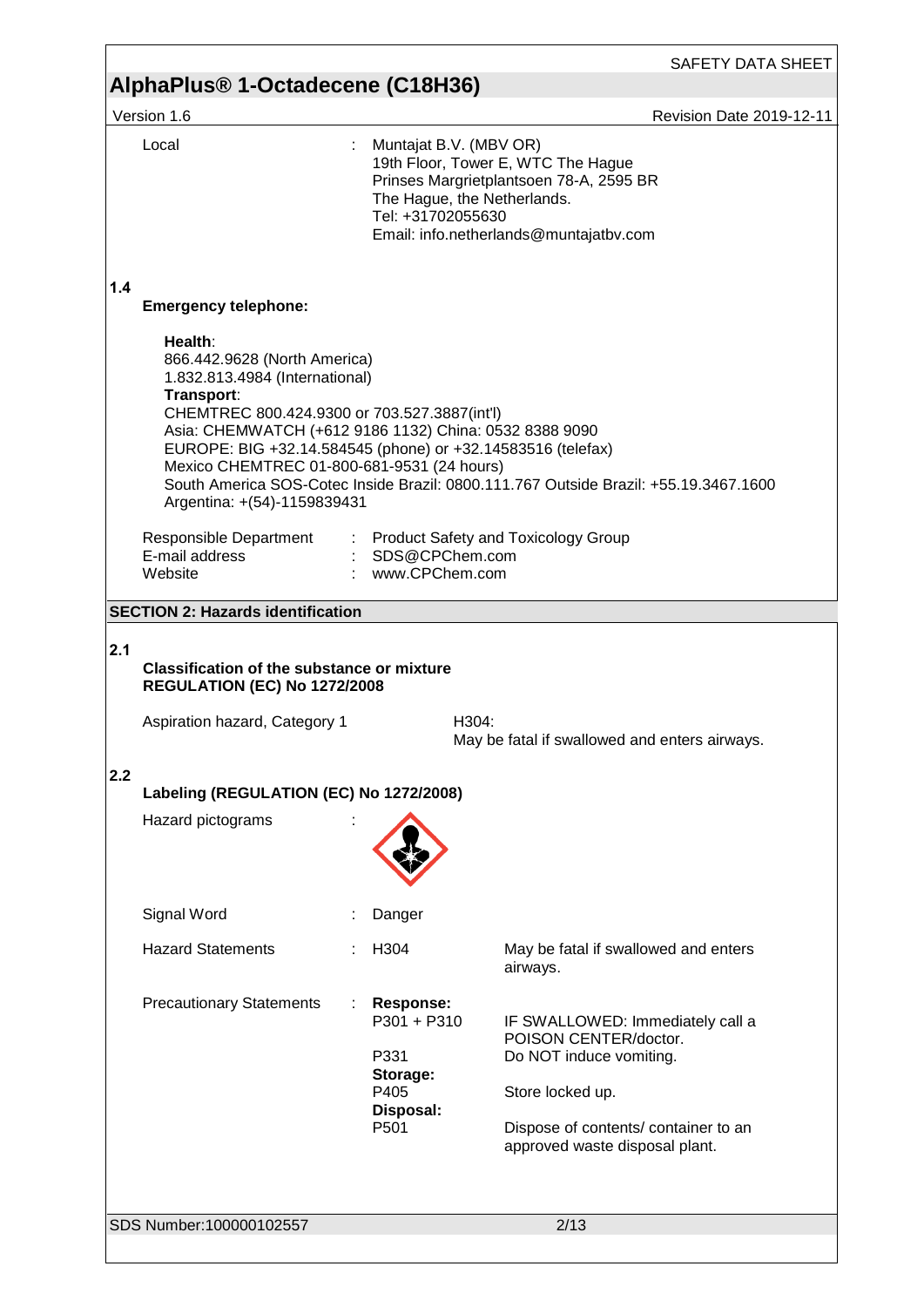|            | 1.1<br>Version 1.6                                                                                                                                                                                                                                                                                                                                                                                                       |                                                                            | <b>Revision Date 2019-12-11</b>                                                                                                                                                    |
|------------|--------------------------------------------------------------------------------------------------------------------------------------------------------------------------------------------------------------------------------------------------------------------------------------------------------------------------------------------------------------------------------------------------------------------------|----------------------------------------------------------------------------|------------------------------------------------------------------------------------------------------------------------------------------------------------------------------------|
|            | Local                                                                                                                                                                                                                                                                                                                                                                                                                    | Muntajat B.V. (MBV OR)<br>The Hague, the Netherlands.<br>Tel: +31702055630 | 19th Floor, Tower E, WTC The Hague<br>Prinses Margrietplantsoen 78-A, 2595 BR<br>Email: info.netherlands@muntajatbv.com                                                            |
| 1.4        | <b>Emergency telephone:</b><br>Health:<br>866.442.9628 (North America)<br>1.832.813.4984 (International)<br>Transport:<br>CHEMTREC 800.424.9300 or 703.527.3887(int'l)<br>Asia: CHEMWATCH (+612 9186 1132) China: 0532 8388 9090<br>EUROPE: BIG +32.14.584545 (phone) or +32.14583516 (telefax)<br>Mexico CHEMTREC 01-800-681-9531 (24 hours)<br>Argentina: +(54)-1159839431<br>Responsible Department<br>E-mail address | : SDS@CPChem.com                                                           | South America SOS-Cotec Inside Brazil: 0800.111.767 Outside Brazil: +55.19.3467.1600<br>: Product Safety and Toxicology Group                                                      |
|            | Website                                                                                                                                                                                                                                                                                                                                                                                                                  | : www.CPChem.com                                                           |                                                                                                                                                                                    |
|            | <b>SECTION 2: Hazards identification</b>                                                                                                                                                                                                                                                                                                                                                                                 |                                                                            |                                                                                                                                                                                    |
| 2.1<br>2.2 | <b>Classification of the substance or mixture</b><br><b>REGULATION (EC) No 1272/2008</b><br>Aspiration hazard, Category 1<br>Labeling (REGULATION (EC) No 1272/2008)<br>Hazard pictograms                                                                                                                                                                                                                                | H304:                                                                      | May be fatal if swallowed and enters airways.                                                                                                                                      |
|            |                                                                                                                                                                                                                                                                                                                                                                                                                          |                                                                            |                                                                                                                                                                                    |
|            | Signal Word                                                                                                                                                                                                                                                                                                                                                                                                              | Danger                                                                     |                                                                                                                                                                                    |
|            | <b>Hazard Statements</b>                                                                                                                                                                                                                                                                                                                                                                                                 | H304                                                                       | May be fatal if swallowed and enters<br>airways.                                                                                                                                   |
|            | <b>Precautionary Statements</b>                                                                                                                                                                                                                                                                                                                                                                                          | Response:<br>P301 + P310<br>P331<br>Storage:<br>P405<br>Disposal:<br>P501  | IF SWALLOWED: Immediately call a<br>POISON CENTER/doctor.<br>Do NOT induce vomiting.<br>Store locked up.<br>Dispose of contents/ container to an<br>approved waste disposal plant. |
|            | SDS Number: 100000102557                                                                                                                                                                                                                                                                                                                                                                                                 |                                                                            | 2/13                                                                                                                                                                               |
|            |                                                                                                                                                                                                                                                                                                                                                                                                                          |                                                                            |                                                                                                                                                                                    |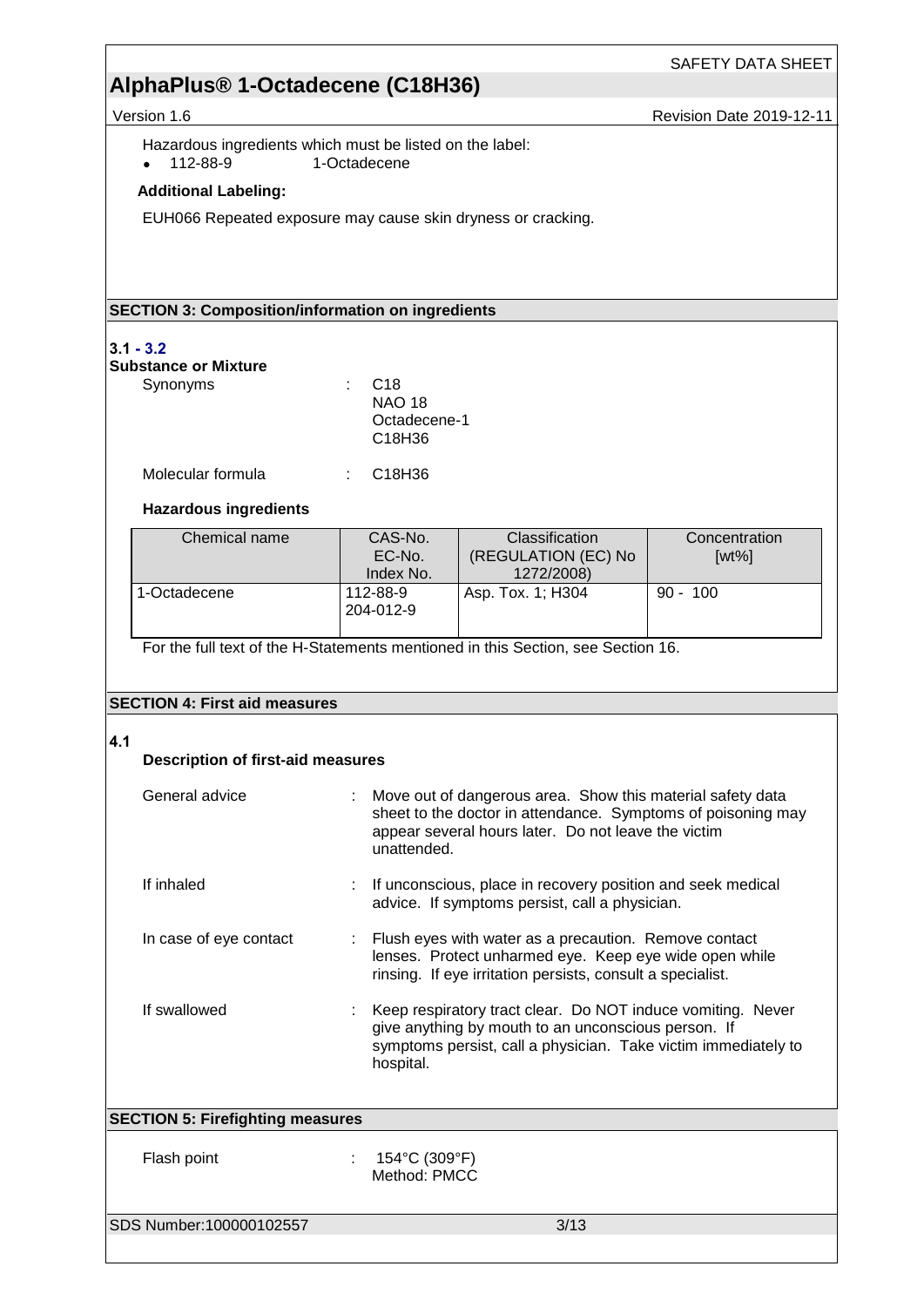Version 1.6 **Revision Date 2019-12-11** 

Hazardous ingredients which must be listed on the label:<br>• 112-88-9 1-Octadecene  $\bullet$  112-88-9 1-Octadecene

#### **Additional Labeling:**

EUH066 Repeated exposure may cause skin dryness or cracking.

#### **SECTION 3: Composition/information on ingredients**

#### **3.1 - 3.2**

| Substance or Mixture |  |
|----------------------|--|
|----------------------|--|

| Synonyms | : C18                           |  |
|----------|---------------------------------|--|
|          | <b>NAO 18</b>                   |  |
|          | Octadecene-1                    |  |
|          | C <sub>18</sub> H <sub>36</sub> |  |
|          |                                 |  |

| Molecular formula | C18H36 |
|-------------------|--------|
|                   |        |

#### **Hazardous ingredients**

| Chemical name | CAS-No.<br>EC-No.<br>Index No. | Classification<br>(REGULATION (EC) No<br>1272/2008) | Concentration<br>$[wt\%]$ |
|---------------|--------------------------------|-----------------------------------------------------|---------------------------|
| 1-Octadecene  | 112-88-9<br>204-012-9          | Asp. Tox. 1: H304                                   | $90 - 100$                |

For the full text of the H-Statements mentioned in this Section, see Section 16.

#### **SECTION 4: First aid measures**

#### **4.1**

| <b>Description of first-aid measures</b> |  |  |  |
|------------------------------------------|--|--|--|
|------------------------------------------|--|--|--|

| General advice                          | : Move out of dangerous area. Show this material safety data<br>sheet to the doctor in attendance. Symptoms of poisoning may<br>appear several hours later. Do not leave the victim<br>unattended.  |
|-----------------------------------------|-----------------------------------------------------------------------------------------------------------------------------------------------------------------------------------------------------|
| If inhaled                              | : If unconscious, place in recovery position and seek medical<br>advice. If symptoms persist, call a physician.                                                                                     |
| In case of eye contact                  | : Flush eyes with water as a precaution. Remove contact<br>lenses. Protect unharmed eye. Keep eye wide open while<br>rinsing. If eye irritation persists, consult a specialist.                     |
| If swallowed                            | : Keep respiratory tract clear. Do NOT induce vomiting. Never<br>give anything by mouth to an unconscious person. If<br>symptoms persist, call a physician. Take victim immediately to<br>hospital. |
| <b>SECTION 5: Firefighting measures</b> |                                                                                                                                                                                                     |
| Flash point                             | 154°C (309°F)<br>Method: PMCC                                                                                                                                                                       |

SDS Number:100000102557 3/13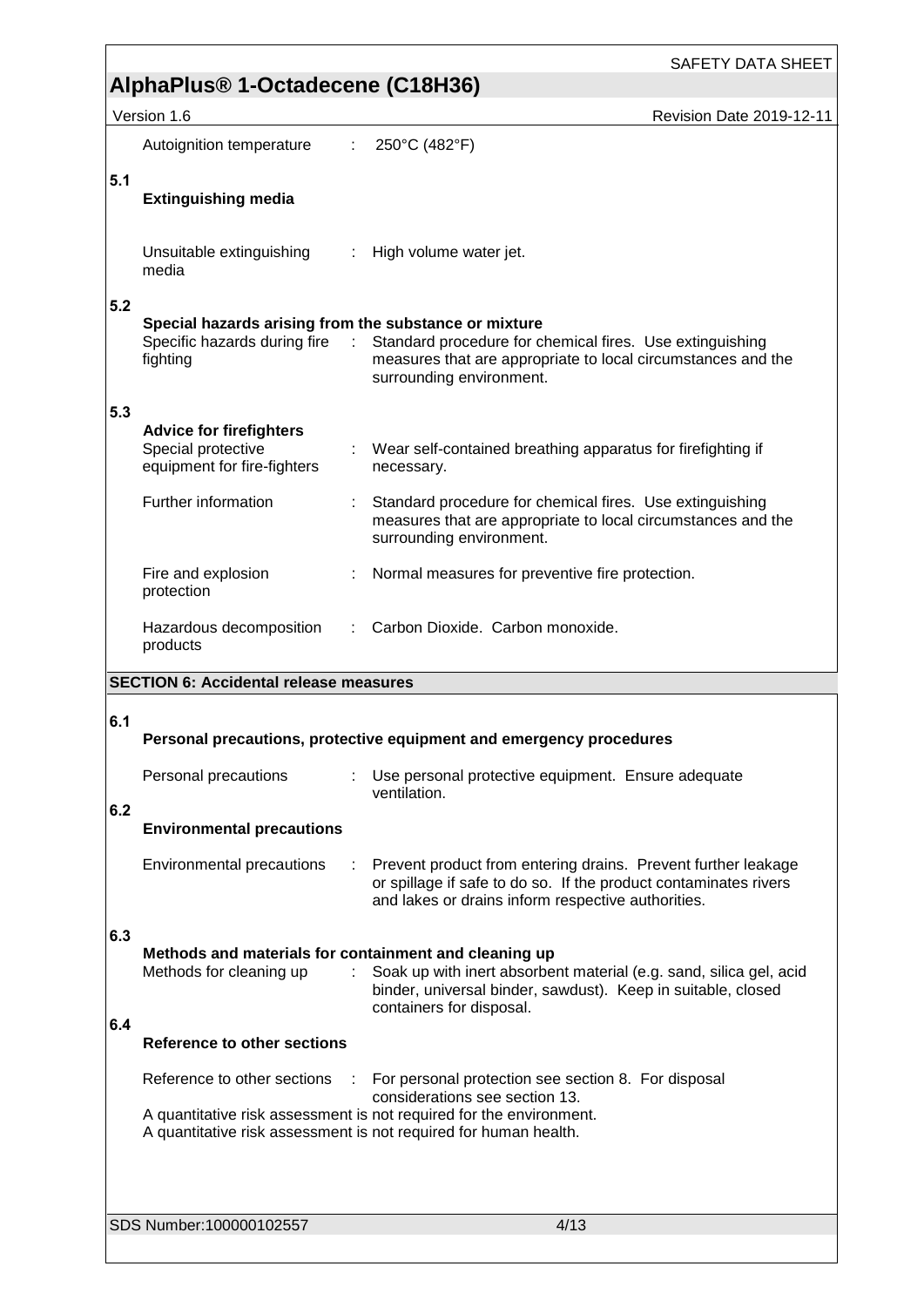|     |                                                                                         |   | <b>SAFETY DATA SHEET</b>                                                                                                                                                                                                         |
|-----|-----------------------------------------------------------------------------------------|---|----------------------------------------------------------------------------------------------------------------------------------------------------------------------------------------------------------------------------------|
|     | AlphaPlus® 1-Octadecene (C18H36)                                                        |   |                                                                                                                                                                                                                                  |
|     | Version 1.6                                                                             |   | Revision Date 2019-12-11                                                                                                                                                                                                         |
|     | Autoignition temperature                                                                | ÷ | 250°C (482°F)                                                                                                                                                                                                                    |
|     |                                                                                         |   |                                                                                                                                                                                                                                  |
| 5.1 | <b>Extinguishing media</b>                                                              |   |                                                                                                                                                                                                                                  |
|     | Unsuitable extinguishing<br>media                                                       |   | : High volume water jet.                                                                                                                                                                                                         |
| 5.2 | Special hazards arising from the substance or mixture<br>Specific hazards during fire : |   | Standard procedure for chemical fires. Use extinguishing                                                                                                                                                                         |
|     | fighting                                                                                |   | measures that are appropriate to local circumstances and the<br>surrounding environment.                                                                                                                                         |
| 5.3 | <b>Advice for firefighters</b>                                                          |   |                                                                                                                                                                                                                                  |
|     | Special protective<br>equipment for fire-fighters                                       |   | : Wear self-contained breathing apparatus for firefighting if<br>necessary.                                                                                                                                                      |
|     | Further information                                                                     |   | Standard procedure for chemical fires. Use extinguishing<br>measures that are appropriate to local circumstances and the<br>surrounding environment.                                                                             |
|     | Fire and explosion<br>protection                                                        |   | Normal measures for preventive fire protection.                                                                                                                                                                                  |
|     | Hazardous decomposition<br>products                                                     |   | Carbon Dioxide. Carbon monoxide.                                                                                                                                                                                                 |
|     | <b>SECTION 6: Accidental release measures</b>                                           |   |                                                                                                                                                                                                                                  |
|     |                                                                                         |   |                                                                                                                                                                                                                                  |
| 6.1 |                                                                                         |   | Personal precautions, protective equipment and emergency procedures                                                                                                                                                              |
| 6.2 | Personal precautions                                                                    | ÷ | Use personal protective equipment. Ensure adequate<br>ventilation.                                                                                                                                                               |
|     | <b>Environmental precautions</b>                                                        |   |                                                                                                                                                                                                                                  |
|     | <b>Environmental precautions</b>                                                        | ÷ | Prevent product from entering drains. Prevent further leakage                                                                                                                                                                    |
|     |                                                                                         |   | or spillage if safe to do so. If the product contaminates rivers<br>and lakes or drains inform respective authorities.                                                                                                           |
| 6.3 |                                                                                         |   |                                                                                                                                                                                                                                  |
|     | Methods and materials for containment and cleaning up<br>Methods for cleaning up        |   | Soak up with inert absorbent material (e.g. sand, silica gel, acid<br>binder, universal binder, sawdust). Keep in suitable, closed                                                                                               |
| 6.4 | <b>Reference to other sections</b>                                                      |   | containers for disposal.                                                                                                                                                                                                         |
|     | Reference to other sections                                                             |   |                                                                                                                                                                                                                                  |
|     |                                                                                         |   | For personal protection see section 8. For disposal<br>considerations see section 13.<br>A quantitative risk assessment is not required for the environment.<br>A quantitative risk assessment is not required for human health. |
|     |                                                                                         |   |                                                                                                                                                                                                                                  |
|     | SDS Number:100000102557                                                                 |   | 4/13                                                                                                                                                                                                                             |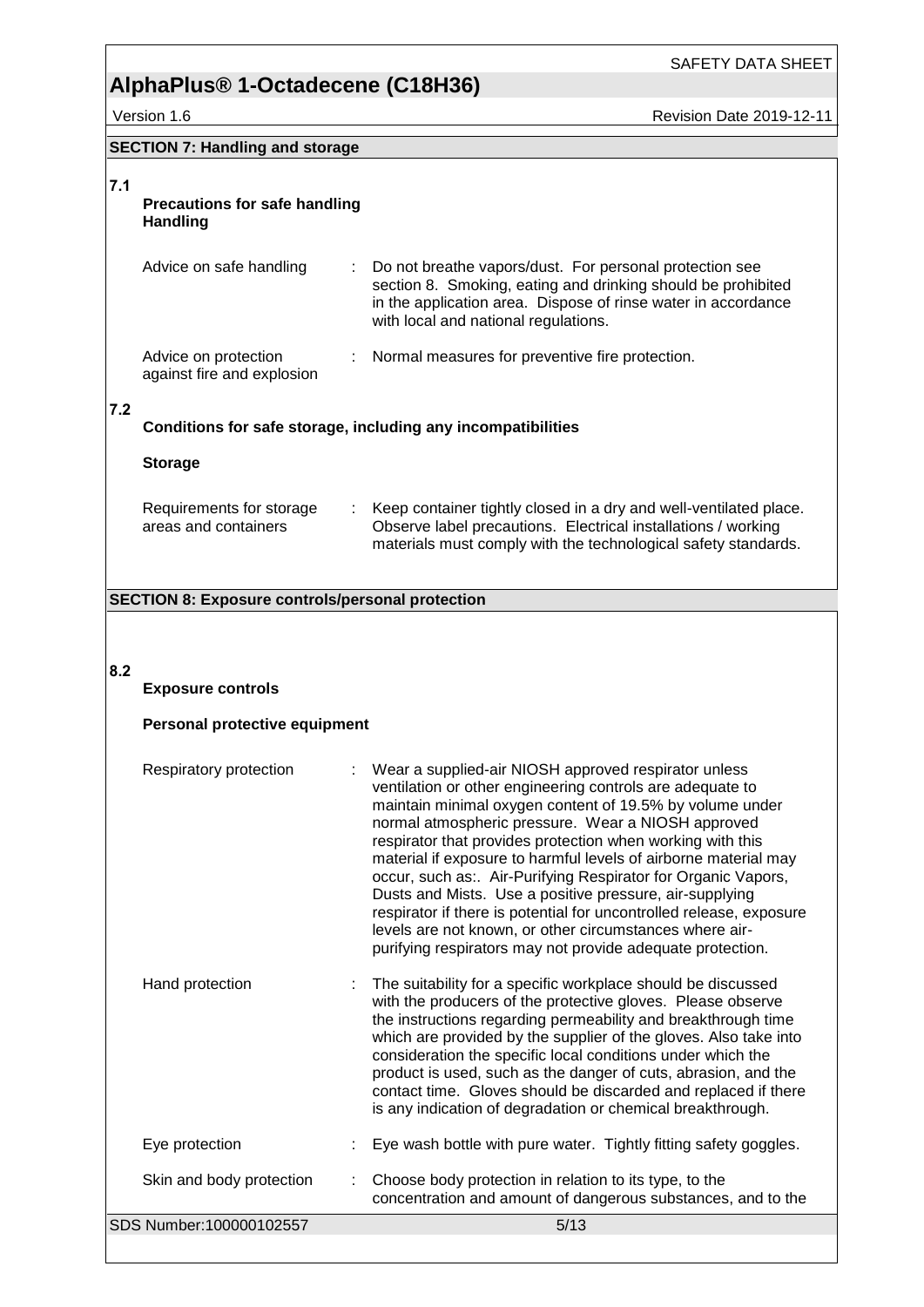Version 1.6 **Accord 2019-12-11** Revision Date 2019-12-11

SAFETY DATA SHEET

### **SECTION 7: Handling and storage**

### **7.1**

#### **Precautions for safe handling Handling**

| Advice on safe handling                            | Do not breathe vapors/dust. For personal protection see<br>section 8. Smoking, eating and drinking should be prohibited<br>in the application area. Dispose of rinse water in accordance<br>with local and national regulations. |
|----------------------------------------------------|----------------------------------------------------------------------------------------------------------------------------------------------------------------------------------------------------------------------------------|
| Advice on protection<br>against fire and explosion | Normal measures for preventive fire protection.                                                                                                                                                                                  |

#### **7.2**

#### **Conditions for safe storage, including any incompatibilities**

#### **Storage**

| Requirements for storage | : Keep container tightly closed in a dry and well-ventilated place. |
|--------------------------|---------------------------------------------------------------------|
| areas and containers     | Observe label precautions. Electrical installations / working       |
|                          | materials must comply with the technological safety standards.      |

#### **SECTION 8: Exposure controls/personal protection**

#### **8.2**

#### **Exposure controls**

### **Personal protective equipment**

| Respiratory protection   | : Wear a supplied-air NIOSH approved respirator unless<br>ventilation or other engineering controls are adequate to<br>maintain minimal oxygen content of 19.5% by volume under<br>normal atmospheric pressure. Wear a NIOSH approved<br>respirator that provides protection when working with this<br>material if exposure to harmful levels of airborne material may<br>occur, such as:. Air-Purifying Respirator for Organic Vapors,<br>Dusts and Mists. Use a positive pressure, air-supplying<br>respirator if there is potential for uncontrolled release, exposure<br>levels are not known, or other circumstances where air-<br>purifying respirators may not provide adequate protection. |
|--------------------------|----------------------------------------------------------------------------------------------------------------------------------------------------------------------------------------------------------------------------------------------------------------------------------------------------------------------------------------------------------------------------------------------------------------------------------------------------------------------------------------------------------------------------------------------------------------------------------------------------------------------------------------------------------------------------------------------------|
| Hand protection          | The suitability for a specific workplace should be discussed<br>with the producers of the protective gloves. Please observe<br>the instructions regarding permeability and breakthrough time<br>which are provided by the supplier of the gloves. Also take into<br>consideration the specific local conditions under which the<br>product is used, such as the danger of cuts, abrasion, and the<br>contact time. Gloves should be discarded and replaced if there<br>is any indication of degradation or chemical breakthrough.                                                                                                                                                                  |
| Eye protection           | Eye wash bottle with pure water. Tightly fitting safety goggles.                                                                                                                                                                                                                                                                                                                                                                                                                                                                                                                                                                                                                                   |
| Skin and body protection | Choose body protection in relation to its type, to the<br>concentration and amount of dangerous substances, and to the                                                                                                                                                                                                                                                                                                                                                                                                                                                                                                                                                                             |
| SDS Number:100000102557  | 5/13                                                                                                                                                                                                                                                                                                                                                                                                                                                                                                                                                                                                                                                                                               |
|                          |                                                                                                                                                                                                                                                                                                                                                                                                                                                                                                                                                                                                                                                                                                    |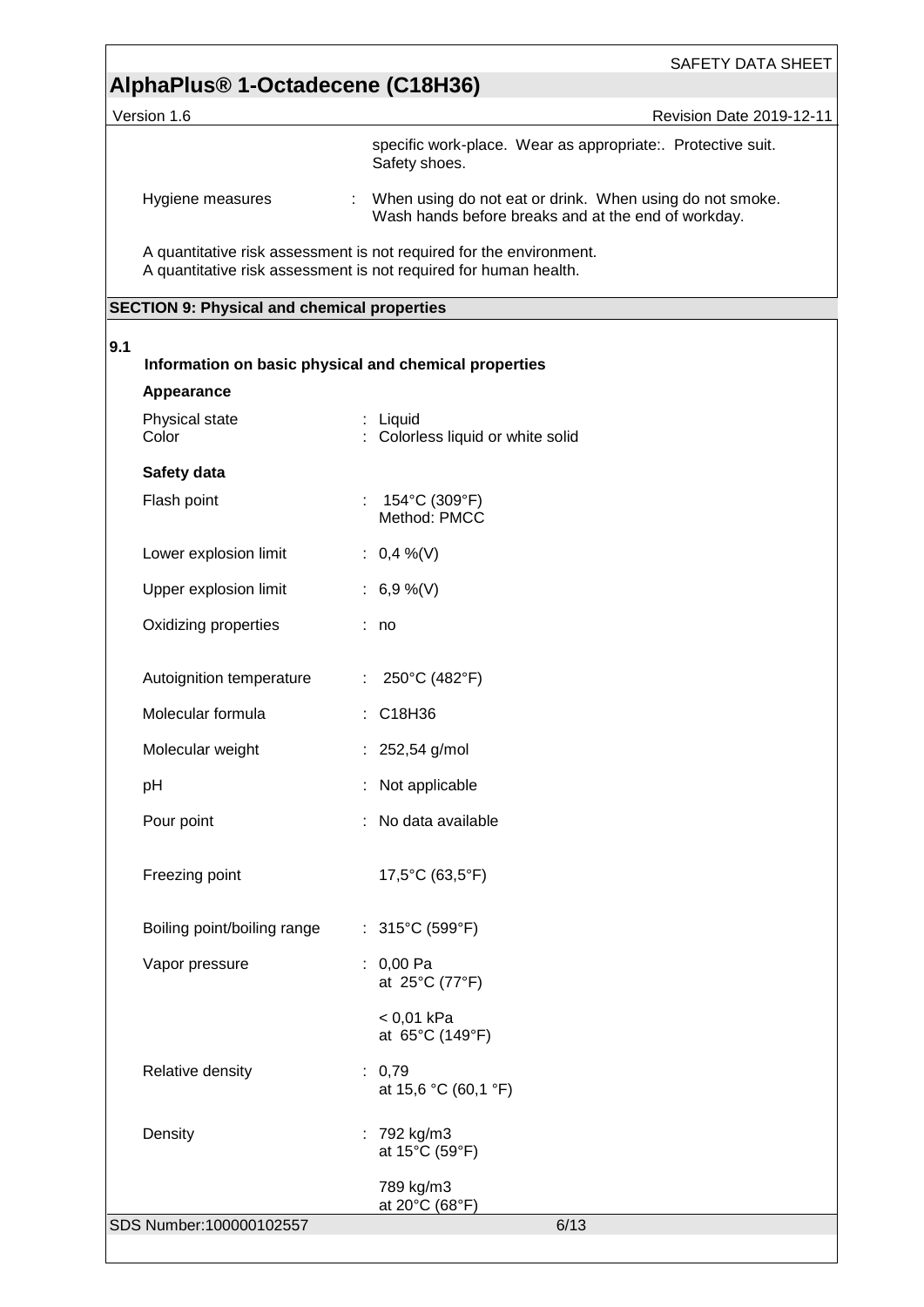Version 1.6 **Accord 2019-12-11** Revision Date 2019-12-11

specific work-place. Wear as appropriate:. Protective suit. Safety shoes.

Hygiene measures : When using do not eat or drink. When using do not smoke. Wash hands before breaks and at the end of workday.

A quantitative risk assessment is not required for the environment. A quantitative risk assessment is not required for human health.

#### **SECTION 9: Physical and chemical properties**

| Appearance                  |                                                      |
|-----------------------------|------------------------------------------------------|
| Physical state<br>Color     | : Liquid<br>: Colorless liquid or white solid        |
| Safety data                 |                                                      |
| Flash point                 | : $154^{\circ}$ C (309 $^{\circ}$ F)<br>Method: PMCC |
| Lower explosion limit       | : $0,4\%$ (V)                                        |
| Upper explosion limit       | : $6,9\%$ (V)                                        |
| Oxidizing properties        | : no                                                 |
| Autoignition temperature    | : $250^{\circ}$ C (482°F)                            |
| Molecular formula           | : C18H36                                             |
| Molecular weight            | : 252,54 g/mol                                       |
| pH                          | : Not applicable                                     |
| Pour point                  | : No data available                                  |
| Freezing point              | 17,5°C (63,5°F)                                      |
| Boiling point/boiling range | : $315^{\circ}$ C (599 $^{\circ}$ F)                 |
| Vapor pressure              | $: 0,00$ Pa<br>at 25°C (77°F)                        |
|                             | $< 0.01$ kPa<br>at 65°C (149°F)                      |
| Relative density            | : 0,79<br>at 15,6 °C (60,1 °F)                       |
| Density                     | : 792 kg/m3<br>at 15°C (59°F)                        |
|                             | 789 kg/m3<br>at 20°C (68°F)                          |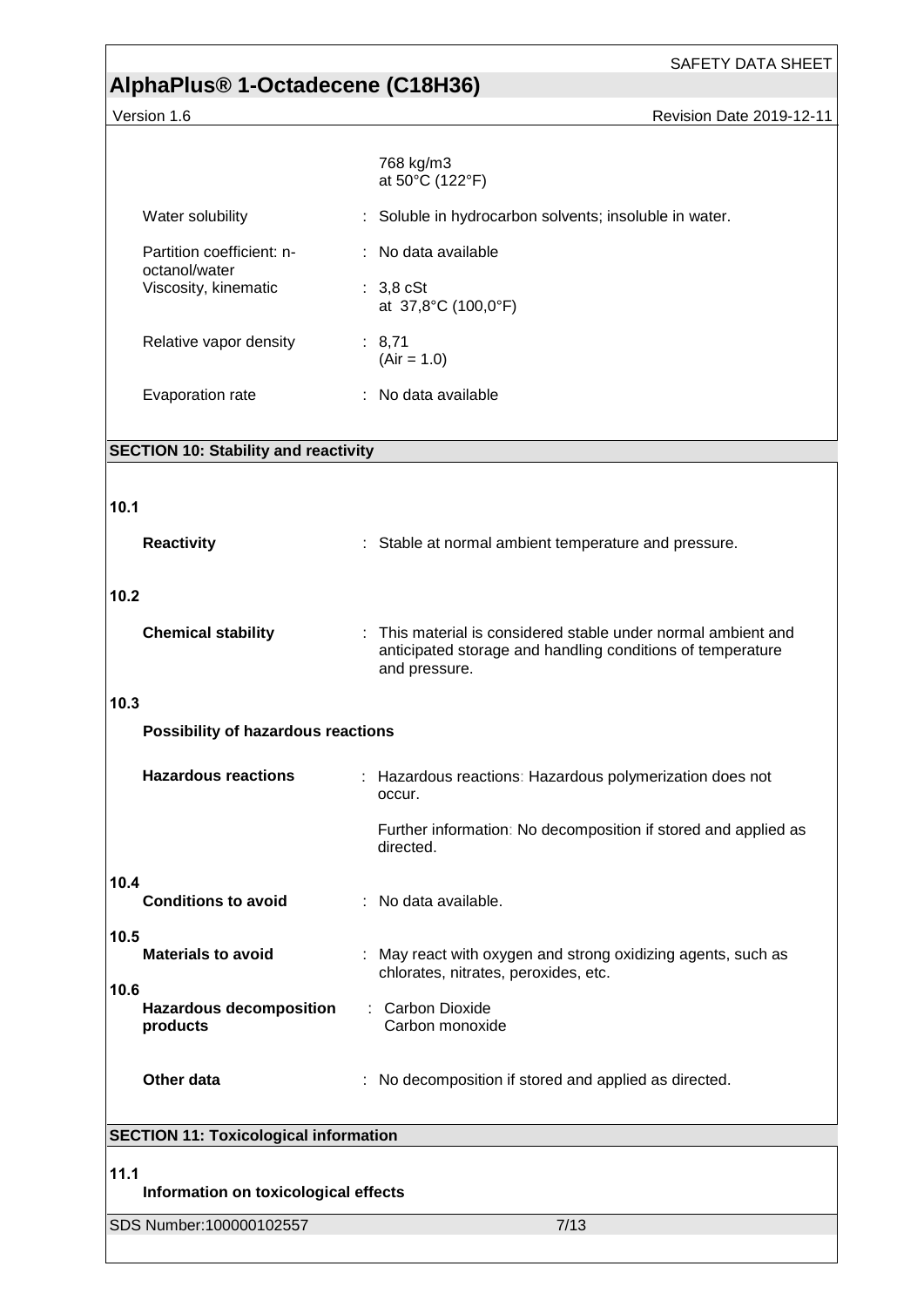SAFETY DATA SHEET

# **AlphaPlus® 1-Octadecene (C18H36)**

Version 1.6 Revision Date 2019-12-11

|                                                    | 768 kg/m3<br>at 50°C (122°F)                                                                                                                 |  |  |
|----------------------------------------------------|----------------------------------------------------------------------------------------------------------------------------------------------|--|--|
| Water solubility                                   | : Soluble in hydrocarbon solvents; insoluble in water.                                                                                       |  |  |
| Partition coefficient: n-                          | : No data available                                                                                                                          |  |  |
| octanol/water<br>Viscosity, kinematic              | $: 3,8$ cSt<br>at 37,8°C (100,0°F)                                                                                                           |  |  |
| Relative vapor density                             | : 8,71<br>$(Air = 1.0)$                                                                                                                      |  |  |
| Evaporation rate                                   | : No data available                                                                                                                          |  |  |
| <b>SECTION 10: Stability and reactivity</b>        |                                                                                                                                              |  |  |
|                                                    |                                                                                                                                              |  |  |
| 10.1                                               |                                                                                                                                              |  |  |
| <b>Reactivity</b>                                  | : Stable at normal ambient temperature and pressure.                                                                                         |  |  |
| 10.2                                               |                                                                                                                                              |  |  |
| <b>Chemical stability</b>                          | : This material is considered stable under normal ambient and<br>anticipated storage and handling conditions of temperature<br>and pressure. |  |  |
| 10.3                                               |                                                                                                                                              |  |  |
| Possibility of hazardous reactions                 |                                                                                                                                              |  |  |
| <b>Hazardous reactions</b>                         | : Hazardous reactions: Hazardous polymerization does not<br>occur.                                                                           |  |  |
|                                                    | Further information: No decomposition if stored and applied as<br>directed.                                                                  |  |  |
| 10.4<br><b>Conditions to avoid</b>                 | : No data available.                                                                                                                         |  |  |
| 10.5<br><b>Materials to avoid</b>                  | : May react with oxygen and strong oxidizing agents, such as<br>chlorates, nitrates, peroxides, etc.                                         |  |  |
| 10.6<br><b>Hazardous decomposition</b><br>products | : Carbon Dioxide<br>Carbon monoxide                                                                                                          |  |  |
| Other data                                         | : No decomposition if stored and applied as directed.                                                                                        |  |  |
| <b>SECTION 11: Toxicological information</b>       |                                                                                                                                              |  |  |
| 11.1<br>Information on toxicological effects       |                                                                                                                                              |  |  |
| SDS Number: 100000102557                           | 7/13                                                                                                                                         |  |  |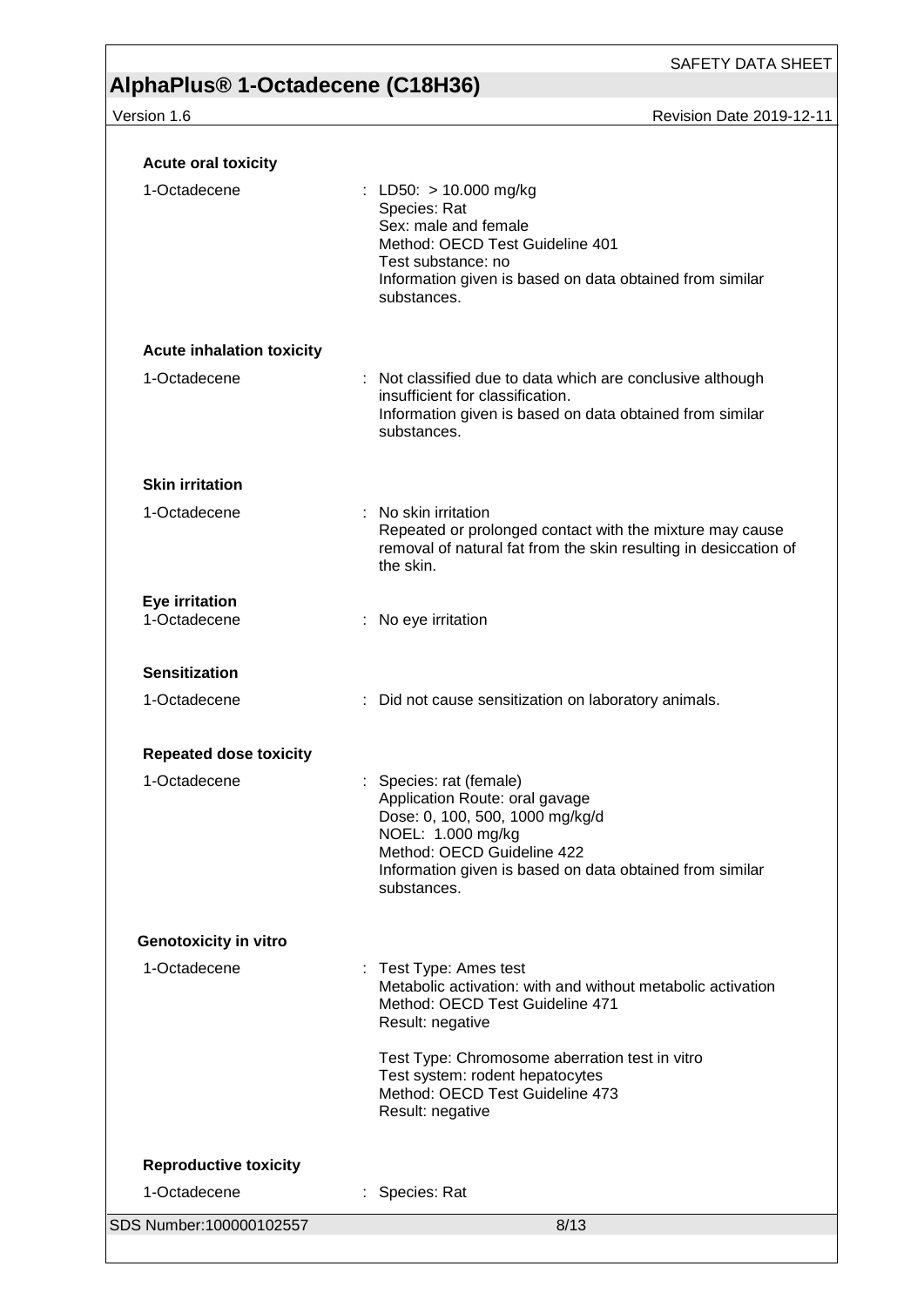| <b>Acute oral toxicity</b>       |                                                                                                                                                                                                                            |  |
|----------------------------------|----------------------------------------------------------------------------------------------------------------------------------------------------------------------------------------------------------------------------|--|
| 1-Octadecene                     | : LD50: $> 10.000$ mg/kg<br>Species: Rat<br>Sex: male and female<br>Method: OECD Test Guideline 401<br>Test substance: no<br>Information given is based on data obtained from similar<br>substances.                       |  |
| <b>Acute inhalation toxicity</b> |                                                                                                                                                                                                                            |  |
| 1-Octadecene                     | : Not classified due to data which are conclusive although<br>insufficient for classification.<br>Information given is based on data obtained from similar<br>substances.                                                  |  |
| <b>Skin irritation</b>           |                                                                                                                                                                                                                            |  |
| 1-Octadecene                     | : No skin irritation<br>Repeated or prolonged contact with the mixture may cause<br>removal of natural fat from the skin resulting in desiccation of<br>the skin.                                                          |  |
| Eye irritation<br>1-Octadecene   | : No eye irritation                                                                                                                                                                                                        |  |
| <b>Sensitization</b>             |                                                                                                                                                                                                                            |  |
| 1-Octadecene                     | : Did not cause sensitization on laboratory animals.                                                                                                                                                                       |  |
| <b>Repeated dose toxicity</b>    |                                                                                                                                                                                                                            |  |
| 1-Octadecene                     | : Species: rat (female)<br>Application Route: oral gavage<br>Dose: 0, 100, 500, 1000 mg/kg/d<br>NOEL: 1.000 mg/kg<br>Method: OECD Guideline 422<br>Information given is based on data obtained from similar<br>substances. |  |
| <b>Genotoxicity in vitro</b>     |                                                                                                                                                                                                                            |  |
| 1-Octadecene                     | : Test Type: Ames test<br>Metabolic activation: with and without metabolic activation<br>Method: OECD Test Guideline 471<br>Result: negative                                                                               |  |
|                                  | Test Type: Chromosome aberration test in vitro<br>Test system: rodent hepatocytes<br>Method: OECD Test Guideline 473<br>Result: negative                                                                                   |  |
| <b>Reproductive toxicity</b>     |                                                                                                                                                                                                                            |  |
| 1-Octadecene                     | Species: Rat<br>÷.                                                                                                                                                                                                         |  |
| SDS Number:100000102557          | 8/13                                                                                                                                                                                                                       |  |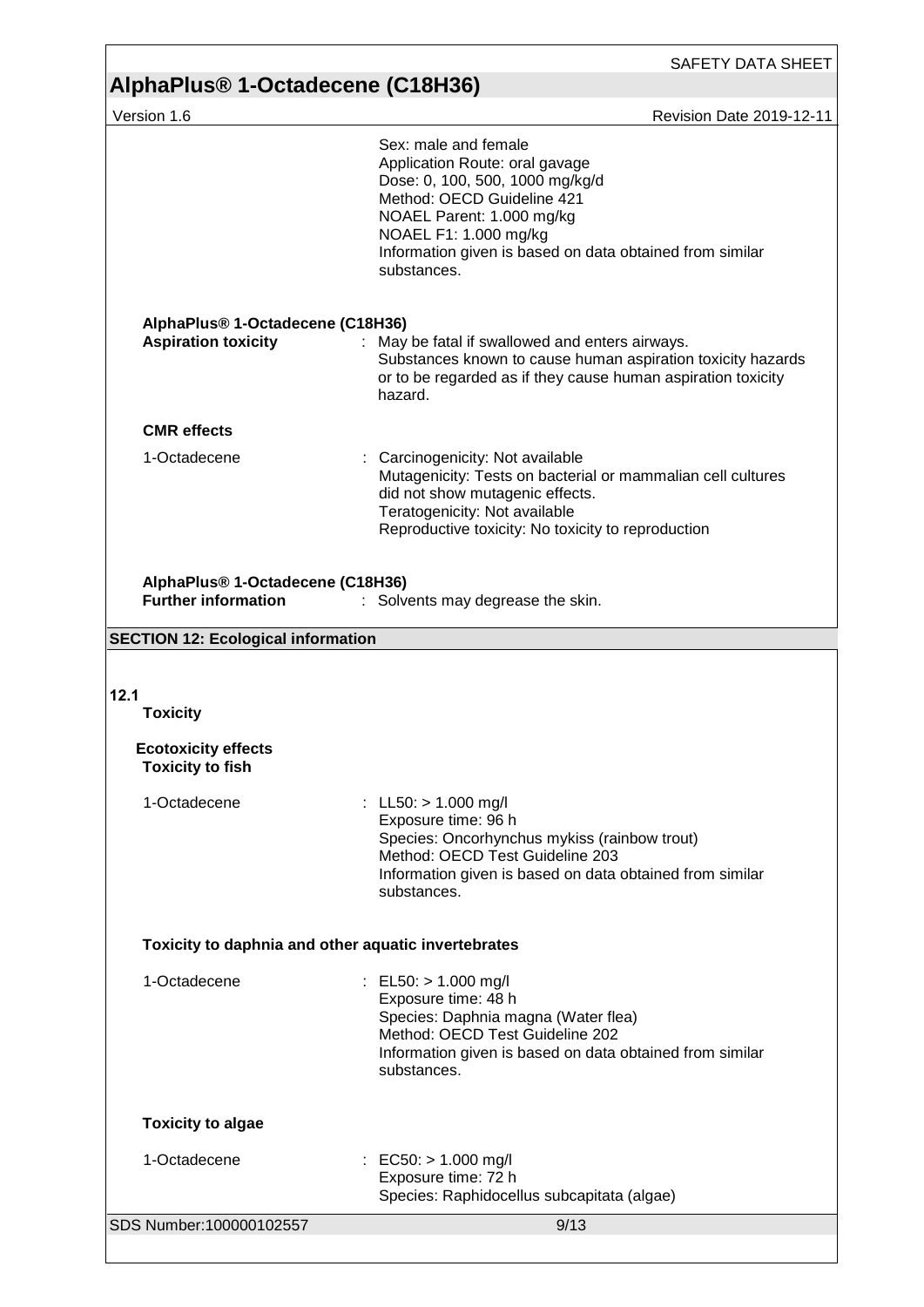## SAFETY DATA SHEET **AlphaPlus® 1-Octadecene (C18H36)**  Version 1.6 **Revision Date 2019-12-11** SDS Number:100000102557 9/13 Sex: male and female Application Route: oral gavage Dose: 0, 100, 500, 1000 mg/kg/d Method: OECD Guideline 421 NOAEL Parent: 1.000 mg/kg NOAEL F1: 1.000 mg/kg Information given is based on data obtained from similar substances. **AlphaPlus® 1-Octadecene (C18H36) Aspiration toxicity** : May be fatal if swallowed and enters airways. Substances known to cause human aspiration toxicity hazards or to be regarded as if they cause human aspiration toxicity hazard. **CMR effects** 1-Octadecene : Carcinogenicity: Not available Mutagenicity: Tests on bacterial or mammalian cell cultures did not show mutagenic effects. Teratogenicity: Not available Reproductive toxicity: No toxicity to reproduction **AlphaPlus® 1-Octadecene (C18H36) Further information** : Solvents may degrease the skin. **SECTION 12: Ecological information 12.1 Toxicity Ecotoxicity effects Toxicity to fish** 1-Octadecene : LL50: > 1.000 mg/l Exposure time: 96 h Species: Oncorhynchus mykiss (rainbow trout) Method: OECD Test Guideline 203 Information given is based on data obtained from similar substances. **Toxicity to daphnia and other aquatic invertebrates** 1-Octadecene : EL50: > 1.000 mg/l Exposure time: 48 h Species: Daphnia magna (Water flea) Method: OECD Test Guideline 202 Information given is based on data obtained from similar substances. **Toxicity to algae** 1-Octadecene : EC50: > 1.000 mg/l Exposure time: 72 h Species: Raphidocellus subcapitata (algae)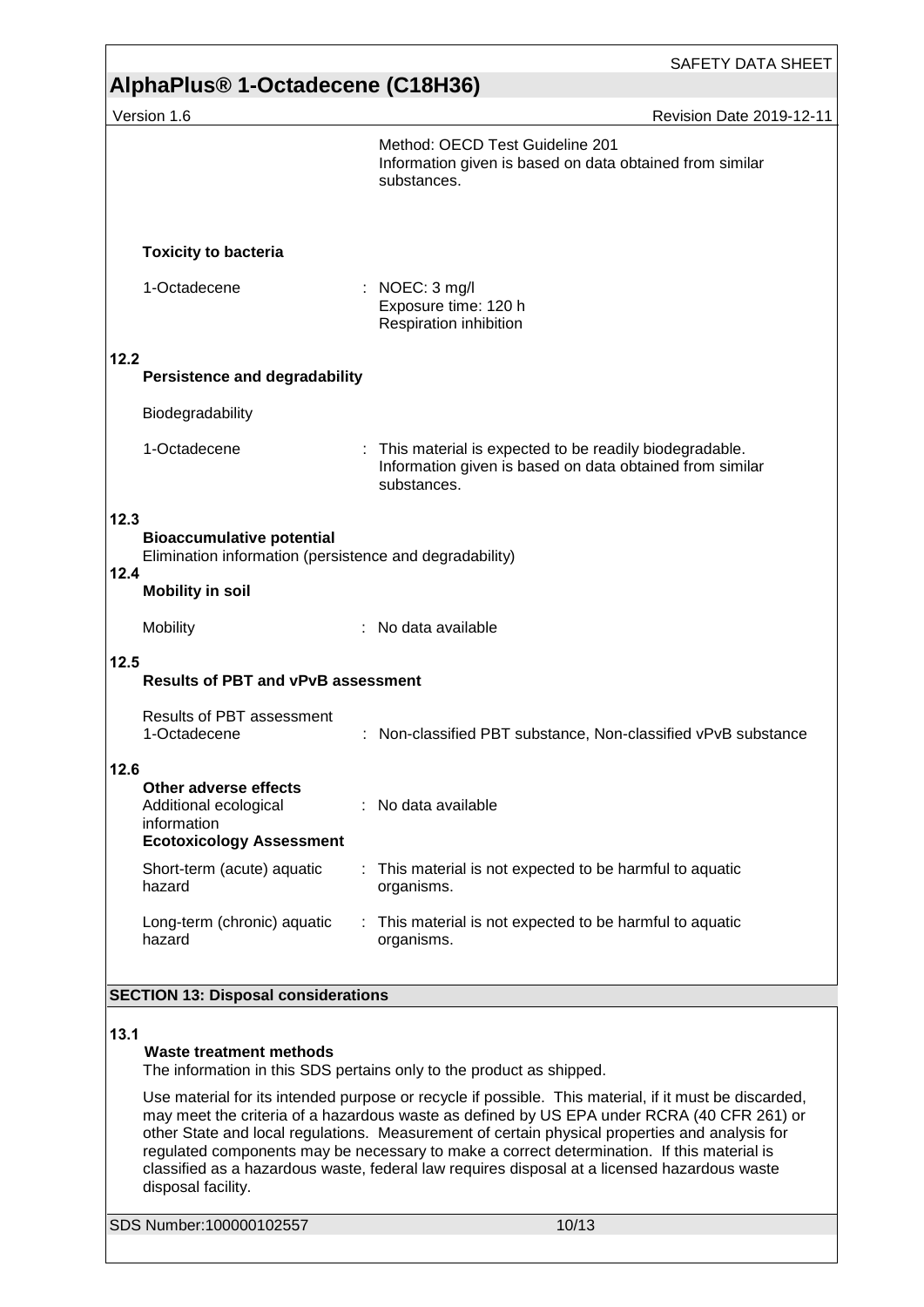|                                                                                                             | <b>SAFETY DATA SHEET</b>                                                                                                                                                                                                                                                                                                                                                                                                                                                                            |  |
|-------------------------------------------------------------------------------------------------------------|-----------------------------------------------------------------------------------------------------------------------------------------------------------------------------------------------------------------------------------------------------------------------------------------------------------------------------------------------------------------------------------------------------------------------------------------------------------------------------------------------------|--|
| AlphaPlus® 1-Octadecene (C18H36)                                                                            |                                                                                                                                                                                                                                                                                                                                                                                                                                                                                                     |  |
| Version 1.6                                                                                                 | Revision Date 2019-12-11                                                                                                                                                                                                                                                                                                                                                                                                                                                                            |  |
|                                                                                                             | Method: OECD Test Guideline 201<br>Information given is based on data obtained from similar<br>substances.                                                                                                                                                                                                                                                                                                                                                                                          |  |
| <b>Toxicity to bacteria</b>                                                                                 |                                                                                                                                                                                                                                                                                                                                                                                                                                                                                                     |  |
| 1-Octadecene                                                                                                | : NOEC: $3 \text{ mg/l}$<br>Exposure time: 120 h<br>Respiration inhibition                                                                                                                                                                                                                                                                                                                                                                                                                          |  |
| 12.2<br><b>Persistence and degradability</b>                                                                |                                                                                                                                                                                                                                                                                                                                                                                                                                                                                                     |  |
| Biodegradability                                                                                            |                                                                                                                                                                                                                                                                                                                                                                                                                                                                                                     |  |
| 1-Octadecene                                                                                                | : This material is expected to be readily biodegradable.<br>Information given is based on data obtained from similar<br>substances.                                                                                                                                                                                                                                                                                                                                                                 |  |
| 12.3<br><b>Bioaccumulative potential</b><br>Elimination information (persistence and degradability)<br>12.4 |                                                                                                                                                                                                                                                                                                                                                                                                                                                                                                     |  |
| <b>Mobility in soil</b>                                                                                     |                                                                                                                                                                                                                                                                                                                                                                                                                                                                                                     |  |
| Mobility                                                                                                    | No data available                                                                                                                                                                                                                                                                                                                                                                                                                                                                                   |  |
| 12.5<br><b>Results of PBT and vPvB assessment</b>                                                           |                                                                                                                                                                                                                                                                                                                                                                                                                                                                                                     |  |
| <b>Results of PBT assessment</b><br>1-Octadecene                                                            | Non-classified PBT substance, Non-classified vPvB substance                                                                                                                                                                                                                                                                                                                                                                                                                                         |  |
| 12.6<br>Other adverse effects<br>Additional ecological<br>information<br><b>Ecotoxicology Assessment</b>    | : No data available                                                                                                                                                                                                                                                                                                                                                                                                                                                                                 |  |
| Short-term (acute) aquatic<br>hazard                                                                        | : This material is not expected to be harmful to aquatic<br>organisms.                                                                                                                                                                                                                                                                                                                                                                                                                              |  |
| Long-term (chronic) aquatic<br>hazard                                                                       | : This material is not expected to be harmful to aquatic<br>organisms.                                                                                                                                                                                                                                                                                                                                                                                                                              |  |
| <b>SECTION 13: Disposal considerations</b>                                                                  |                                                                                                                                                                                                                                                                                                                                                                                                                                                                                                     |  |
|                                                                                                             |                                                                                                                                                                                                                                                                                                                                                                                                                                                                                                     |  |
| 13.1<br>Waste treatment methods                                                                             | The information in this SDS pertains only to the product as shipped.                                                                                                                                                                                                                                                                                                                                                                                                                                |  |
| disposal facility.                                                                                          | Use material for its intended purpose or recycle if possible. This material, if it must be discarded,<br>may meet the criteria of a hazardous waste as defined by US EPA under RCRA (40 CFR 261) or<br>other State and local regulations. Measurement of certain physical properties and analysis for<br>regulated components may be necessary to make a correct determination. If this material is<br>classified as a hazardous waste, federal law requires disposal at a licensed hazardous waste |  |
| SDS Number:100000102557                                                                                     | 10/13                                                                                                                                                                                                                                                                                                                                                                                                                                                                                               |  |
|                                                                                                             |                                                                                                                                                                                                                                                                                                                                                                                                                                                                                                     |  |

ſ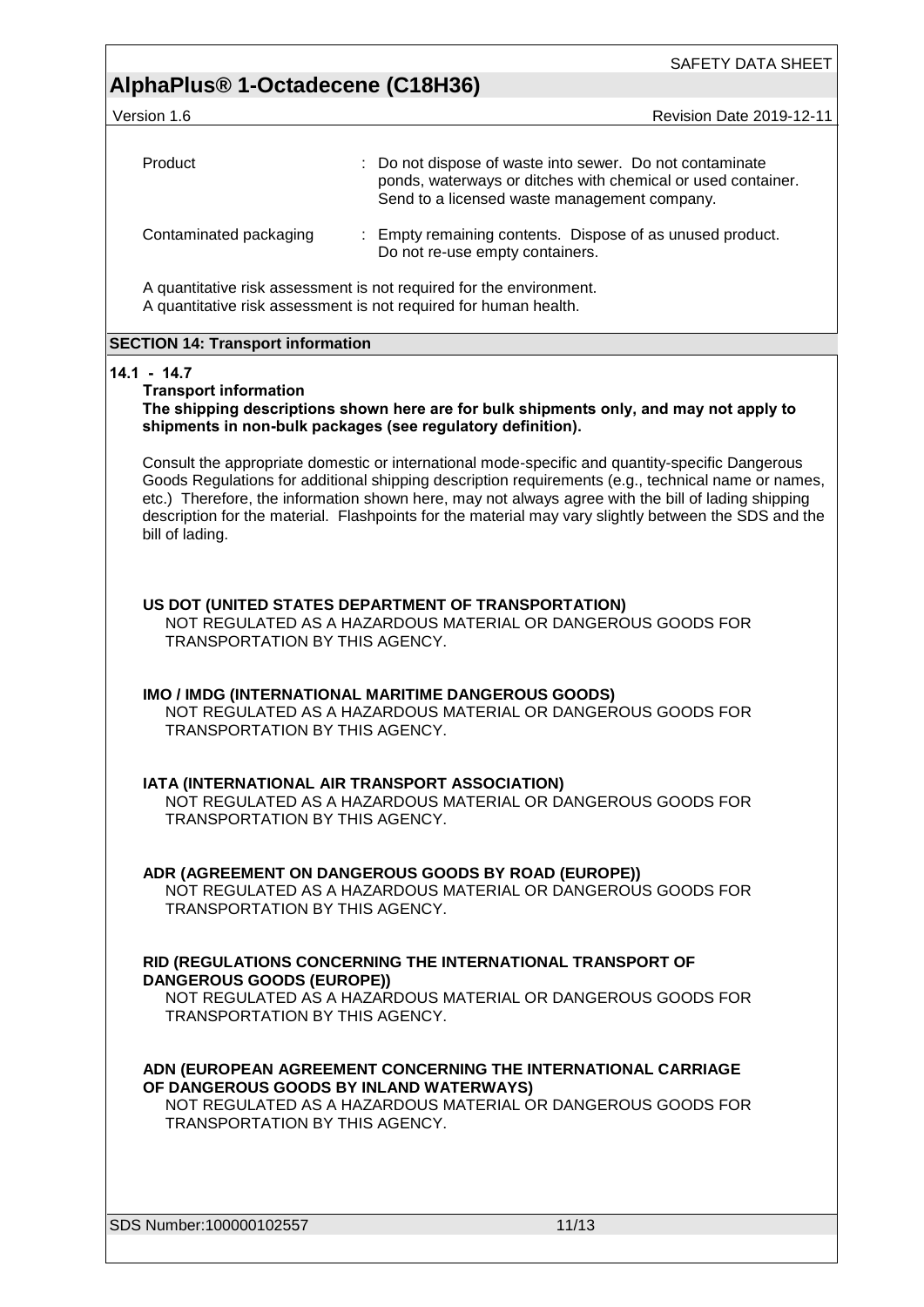SAFETY DATA SHEET

Version 1.6 **Revision Date 2019-12-11** Revision Date 2019-12-11

| Product                | : Do not dispose of waste into sewer. Do not contaminate<br>ponds, waterways or ditches with chemical or used container.<br>Send to a licensed waste management company. |
|------------------------|--------------------------------------------------------------------------------------------------------------------------------------------------------------------------|
| Contaminated packaging | : Empty remaining contents. Dispose of as unused product.<br>Do not re-use empty containers.                                                                             |

A quantitative risk assessment is not required for the environment. A quantitative risk assessment is not required for human health.

#### **SECTION 14: Transport information**

#### **14.1 - 14.7**

#### **Transport information**

**The shipping descriptions shown here are for bulk shipments only, and may not apply to shipments in non-bulk packages (see regulatory definition).**

Consult the appropriate domestic or international mode-specific and quantity-specific Dangerous Goods Regulations for additional shipping description requirements (e.g., technical name or names, etc.) Therefore, the information shown here, may not always agree with the bill of lading shipping description for the material. Flashpoints for the material may vary slightly between the SDS and the bill of lading.

#### **US DOT (UNITED STATES DEPARTMENT OF TRANSPORTATION)**

NOT REGULATED AS A HAZARDOUS MATERIAL OR DANGEROUS GOODS FOR TRANSPORTATION BY THIS AGENCY.

#### **IMO / IMDG (INTERNATIONAL MARITIME DANGEROUS GOODS)**

NOT REGULATED AS A HAZARDOUS MATERIAL OR DANGEROUS GOODS FOR TRANSPORTATION BY THIS AGENCY.

#### **IATA (INTERNATIONAL AIR TRANSPORT ASSOCIATION)**

NOT REGULATED AS A HAZARDOUS MATERIAL OR DANGEROUS GOODS FOR TRANSPORTATION BY THIS AGENCY.

#### **ADR (AGREEMENT ON DANGEROUS GOODS BY ROAD (EUROPE))**

NOT REGULATED AS A HAZARDOUS MATERIAL OR DANGEROUS GOODS FOR TRANSPORTATION BY THIS AGENCY.

#### **RID (REGULATIONS CONCERNING THE INTERNATIONAL TRANSPORT OF DANGEROUS GOODS (EUROPE))**

NOT REGULATED AS A HAZARDOUS MATERIAL OR DANGEROUS GOODS FOR TRANSPORTATION BY THIS AGENCY.

#### **ADN (EUROPEAN AGREEMENT CONCERNING THE INTERNATIONAL CARRIAGE OF DANGEROUS GOODS BY INLAND WATERWAYS)**

NOT REGULATED AS A HAZARDOUS MATERIAL OR DANGEROUS GOODS FOR TRANSPORTATION BY THIS AGENCY.

SDS Number:100000102557 11/13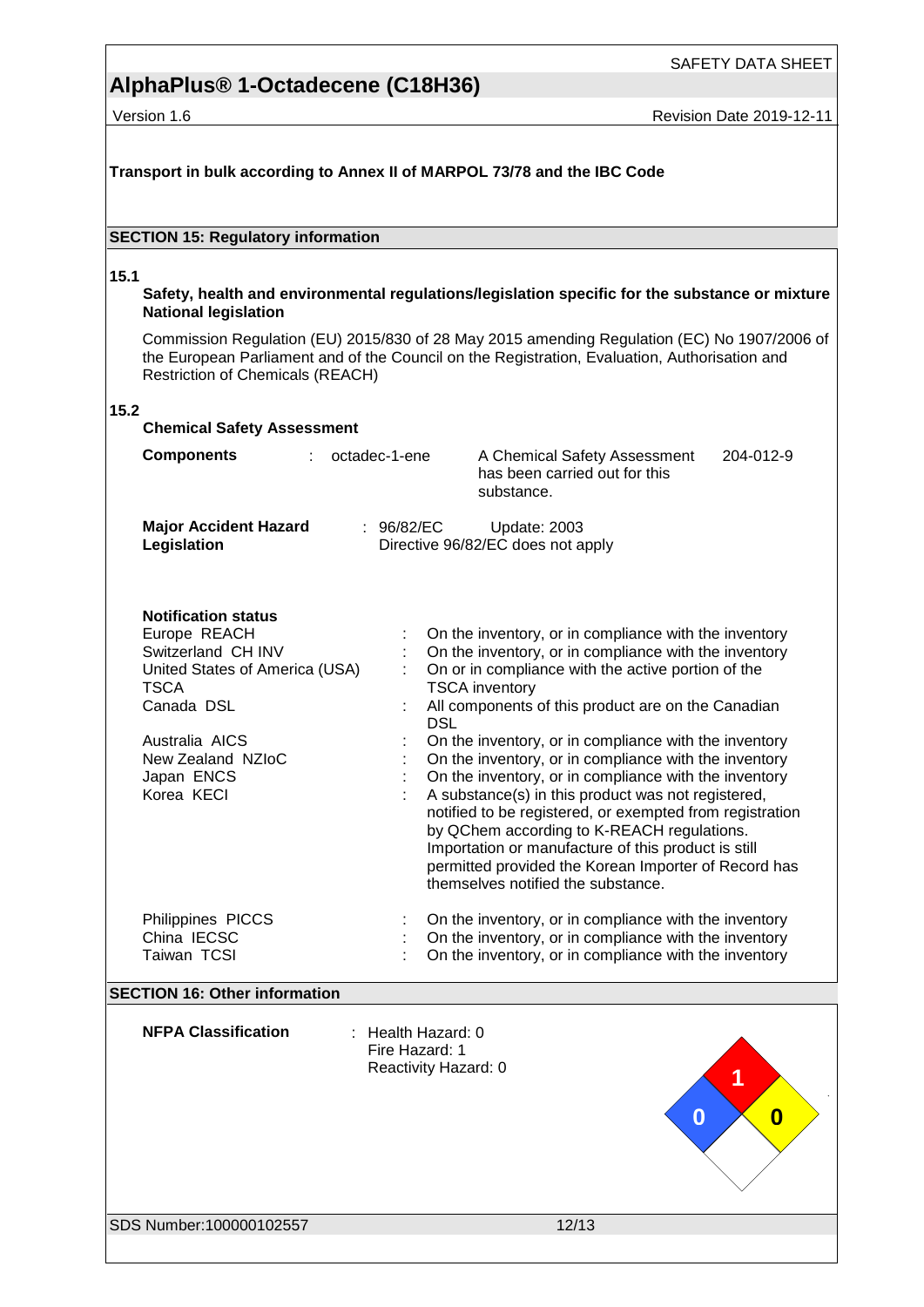SAFETY DATA SHEET

# **AlphaPlus® 1-Octadecene (C18H36)**

Version 1.6 Revision Date 2019-12-11

| Transport in bulk according to Annex II of MARPOL 73/78 and the IBC Code                                                                                                                           |                                                                                                                                                                                                                                                                                                                                                                                                                                                                                                                                                                                                                                                                                                                                                                   |  |  |  |
|----------------------------------------------------------------------------------------------------------------------------------------------------------------------------------------------------|-------------------------------------------------------------------------------------------------------------------------------------------------------------------------------------------------------------------------------------------------------------------------------------------------------------------------------------------------------------------------------------------------------------------------------------------------------------------------------------------------------------------------------------------------------------------------------------------------------------------------------------------------------------------------------------------------------------------------------------------------------------------|--|--|--|
| <b>SECTION 15: Regulatory information</b>                                                                                                                                                          |                                                                                                                                                                                                                                                                                                                                                                                                                                                                                                                                                                                                                                                                                                                                                                   |  |  |  |
| 15.1<br><b>National legislation</b>                                                                                                                                                                | Safety, health and environmental regulations/legislation specific for the substance or mixture                                                                                                                                                                                                                                                                                                                                                                                                                                                                                                                                                                                                                                                                    |  |  |  |
| Restriction of Chemicals (REACH)                                                                                                                                                                   | Commission Regulation (EU) 2015/830 of 28 May 2015 amending Regulation (EC) No 1907/2006 of<br>the European Parliament and of the Council on the Registration, Evaluation, Authorisation and                                                                                                                                                                                                                                                                                                                                                                                                                                                                                                                                                                      |  |  |  |
| 15.2<br><b>Chemical Safety Assessment</b>                                                                                                                                                          |                                                                                                                                                                                                                                                                                                                                                                                                                                                                                                                                                                                                                                                                                                                                                                   |  |  |  |
| <b>Components</b>                                                                                                                                                                                  | octadec-1-ene<br>204-012-9<br>A Chemical Safety Assessment<br>has been carried out for this<br>substance.                                                                                                                                                                                                                                                                                                                                                                                                                                                                                                                                                                                                                                                         |  |  |  |
| <b>Major Accident Hazard</b><br>Legislation                                                                                                                                                        | : $96/82/EC$<br>Update: 2003<br>Directive 96/82/EC does not apply                                                                                                                                                                                                                                                                                                                                                                                                                                                                                                                                                                                                                                                                                                 |  |  |  |
| <b>Notification status</b><br>Europe REACH<br>Switzerland CH INV<br>United States of America (USA)<br><b>TSCA</b><br>Canada DSL<br>Australia AICS<br>New Zealand NZIoC<br>Japan ENCS<br>Korea KECI | On the inventory, or in compliance with the inventory<br>On the inventory, or in compliance with the inventory<br>On or in compliance with the active portion of the<br><b>TSCA</b> inventory<br>All components of this product are on the Canadian<br><b>DSL</b><br>On the inventory, or in compliance with the inventory<br>On the inventory, or in compliance with the inventory<br>On the inventory, or in compliance with the inventory<br>A substance(s) in this product was not registered,<br>notified to be registered, or exempted from registration<br>by QChem according to K-REACH regulations.<br>Importation or manufacture of this product is still<br>permitted provided the Korean Importer of Record has<br>themselves notified the substance. |  |  |  |
| Philippines PICCS<br>China IECSC<br>Taiwan TCSI                                                                                                                                                    | On the inventory, or in compliance with the inventory<br>On the inventory, or in compliance with the inventory<br>On the inventory, or in compliance with the inventory                                                                                                                                                                                                                                                                                                                                                                                                                                                                                                                                                                                           |  |  |  |
| <b>SECTION 16: Other information</b>                                                                                                                                                               |                                                                                                                                                                                                                                                                                                                                                                                                                                                                                                                                                                                                                                                                                                                                                                   |  |  |  |
| <b>NFPA Classification</b>                                                                                                                                                                         | : Health Hazard: 0<br>Fire Hazard: 1<br>Reactivity Hazard: 0<br>1<br>0<br>0                                                                                                                                                                                                                                                                                                                                                                                                                                                                                                                                                                                                                                                                                       |  |  |  |
| SDS Number:100000102557                                                                                                                                                                            | 12/13                                                                                                                                                                                                                                                                                                                                                                                                                                                                                                                                                                                                                                                                                                                                                             |  |  |  |